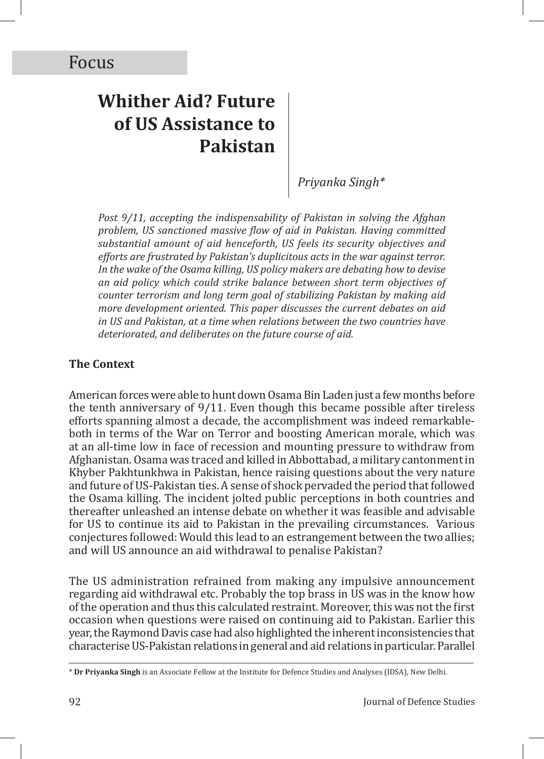# **Whither Aid? Future of US Assistance to Pakistan**

*Priyanka Singh\**

*Post 9/11, accepting the indispensability of Pakistan in solving the Afghan problem, US sanctioned massive flow of aid in Pakistan. Having committed substantial amount of aid henceforth, US feels its security objectives and efforts are frustrated by Pakistan's duplicitous acts in the war against terror. In the wake of the Osama killing, US policy makers are debating how to devise an aid policy which could strike balance between short term objectives of counter terrorism and long term goal of stabilizing Pakistan by making aid more development oriented. This paper discusses the current debates on aid in US and Pakistan, at a time when relations between the two countries have deteriorated, and deliberates on the future course of aid.*

#### **The Context**

American forces were able to hunt down Osama Bin Laden just a few months before the tenth anniversary of 9/11. Even though this became possible after tireless efforts spanning almost a decade, the accomplishment was indeed remarkableboth in terms of the War on Terror and boosting American morale, which was at an all-time low in face of recession and mounting pressure to withdraw from Afghanistan. Osama was traced and killed in Abbottabad, a military cantonment in Khyber Pakhtunkhwa in Pakistan, hence raising questions about the very nature and future of US-Pakistan ties. A sense of shock pervaded the period that followed the Osama killing. The incident jolted public perceptions in both countries and thereafter unleashed an intense debate on whether it was feasible and advisable for US to continue its aid to Pakistan in the prevailing circumstances. Various conjectures followed: Would this lead to an estrangement between the two allies; and will US announce an aid withdrawal to penalise Pakistan?

The US administration refrained from making any impulsive announcement regarding aid withdrawal etc. Probably the top brass in US was in the know how of the operation and thus this calculated restraint. Moreover, this was not the first occasion when questions were raised on continuing aid to Pakistan. Earlier this year, the Raymond Davis case had also highlighted the inherent inconsistencies that characterise US-Pakistan relations in general and aid relations in particular. Parallel

<sup>\*</sup> **Dr Priyanka Singh** is an Associate Fellow at the Institute for Defence Studies and Analyses (IDSA), New Delhi.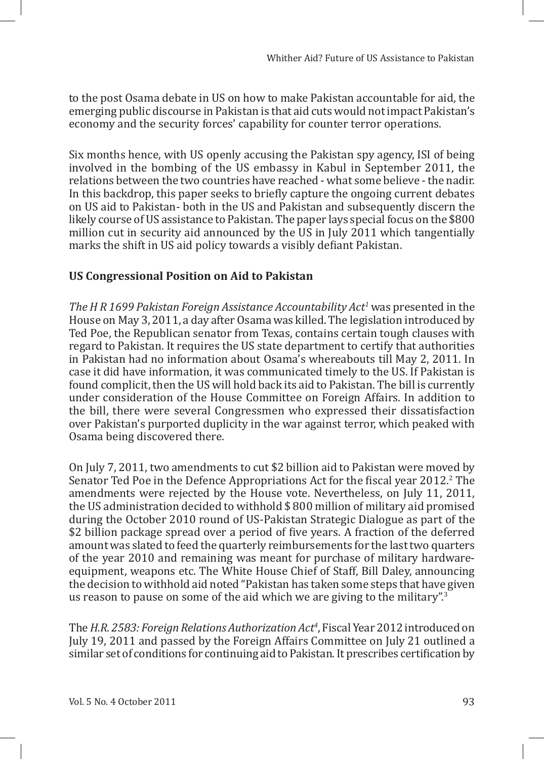to the post Osama debate in US on how to make Pakistan accountable for aid, the emerging public discourse in Pakistan is that aid cuts would not impact Pakistan's economy and the security forces' capability for counter terror operations.

Six months hence, with US openly accusing the Pakistan spy agency, ISI of being involved in the bombing of the US embassy in Kabul in September 2011, the relations between the two countries have reached - what some believe - the nadir. In this backdrop, this paper seeks to briefly capture the ongoing current debates on US aid to Pakistan- both in the US and Pakistan and subsequently discern the likely course of US assistance to Pakistan. The paper lays special focus on the \$800 million cut in security aid announced by the US in July 2011 which tangentially marks the shift in US aid policy towards a visibly defiant Pakistan.

## **US Congressional Position on Aid to Pakistan**

*The H R 1699 Pakistan Foreign Assistance Accountability Act1* was presented in the House on May 3, 2011, a day after Osama was killed. The legislation introduced by Ted Poe, the Republican senator from Texas, contains certain tough clauses with regard to Pakistan. It requires the US state department to certify that authorities in Pakistan had no information about Osama's whereabouts till May 2, 2011. In case it did have information, it was communicated timely to the US. If Pakistan is found complicit, then the US will hold back its aid to Pakistan. The bill is currently under consideration of the House Committee on Foreign Affairs. In addition to the bill, there were several Congressmen who expressed their dissatisfaction over Pakistan's purported duplicity in the war against terror, which peaked with Osama being discovered there.

On July 7, 2011, two amendments to cut \$2 billion aid to Pakistan were moved by Senator Ted Poe in the Defence Appropriations Act for the fiscal year 2012.<sup>2</sup> The amendments were rejected by the House vote. Nevertheless, on July 11, 2011, the US administration decided to withhold \$ 800 million of military aid promised during the October 2010 round of US-Pakistan Strategic Dialogue as part of the \$2 billion package spread over a period of five years. A fraction of the deferred amount was slated to feed the quarterly reimbursements for the last two quarters of the year 2010 and remaining was meant for purchase of military hardwareequipment, weapons etc. The White House Chief of Staff, Bill Daley, announcing the decision to withhold aid noted "Pakistan has taken some steps that have given us reason to pause on some of the aid which we are giving to the military".<sup>3</sup>

The *H.R. 2583: Foreign Relations Authorization Act4* , Fiscal Year 2012 introduced on July 19, 2011 and passed by the Foreign Affairs Committee on July 21 outlined a similar set of conditions for continuing aid to Pakistan. It prescribes certification by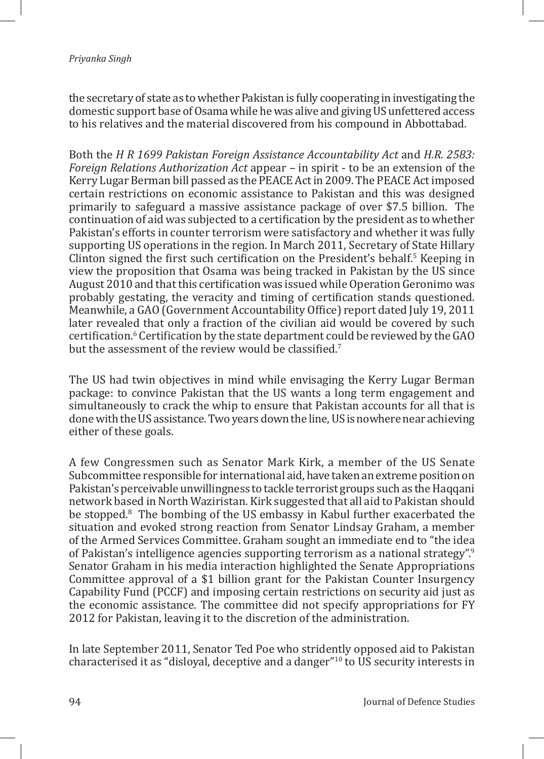the secretary of state as to whether Pakistan is fully cooperating in investigating the domestic support base of Osama while he was alive and giving US unfettered access to his relatives and the material discovered from his compound in Abbottabad.

Both the *H R 1699 Pakistan Foreign Assistance Accountability Act* and *H.R. 2583: Foreign Relations Authorization Act* appear – in spirit - to be an extension of the Kerry Lugar Berman bill passed as the PEACE Act in 2009. The PEACE Act imposed certain restrictions on economic assistance to Pakistan and this was designed primarily to safeguard a massive assistance package of over \$7.5 billion. The continuation of aid was subjected to a certification by the president as to whether Pakistan's efforts in counter terrorism were satisfactory and whether it was fully supporting US operations in the region. In March 2011, Secretary of State Hillary Clinton signed the first such certification on the President's behalf. $\frac{5}{5}$  Keeping in view the proposition that Osama was being tracked in Pakistan by the US since August 2010 and that this certification was issued while Operation Geronimo was probably gestating, the veracity and timing of certification stands questioned. Meanwhile, a GAO (Government Accountability Office) report dated July 19, 2011 later revealed that only a fraction of the civilian aid would be covered by such certification.<sup>6</sup> Certification by the state department could be reviewed by the GAO but the assessment of the review would be classified.<sup>7</sup>

The US had twin objectives in mind while envisaging the Kerry Lugar Berman package: to convince Pakistan that the US wants a long term engagement and simultaneously to crack the whip to ensure that Pakistan accounts for all that is done with the US assistance. Two years down the line, US is nowhere near achieving either of these goals.

A few Congressmen such as Senator Mark Kirk, a member of the US Senate Subcommittee responsible for international aid, have taken an extreme position on Pakistan's perceivable unwillingness to tackle terrorist groups such as the Haqqani network based in North Waziristan. Kirk suggested that all aid to Pakistan should be stopped.8 The bombing of the US embassy in Kabul further exacerbated the situation and evoked strong reaction from Senator Lindsay Graham, a member of the Armed Services Committee. Graham sought an immediate end to "the idea of Pakistan's intelligence agencies supporting terrorism as a national strategy".<sup>9</sup> Senator Graham in his media interaction highlighted the Senate Appropriations Committee approval of a \$1 billion grant for the Pakistan Counter Insurgency Capability Fund (PCCF) and imposing certain restrictions on security aid just as the economic assistance. The committee did not specify appropriations for FY 2012 for Pakistan, leaving it to the discretion of the administration.

In late September 2011, Senator Ted Poe who stridently opposed aid to Pakistan characterised it as "disloyal, deceptive and a danger"<sup>10</sup> to US security interests in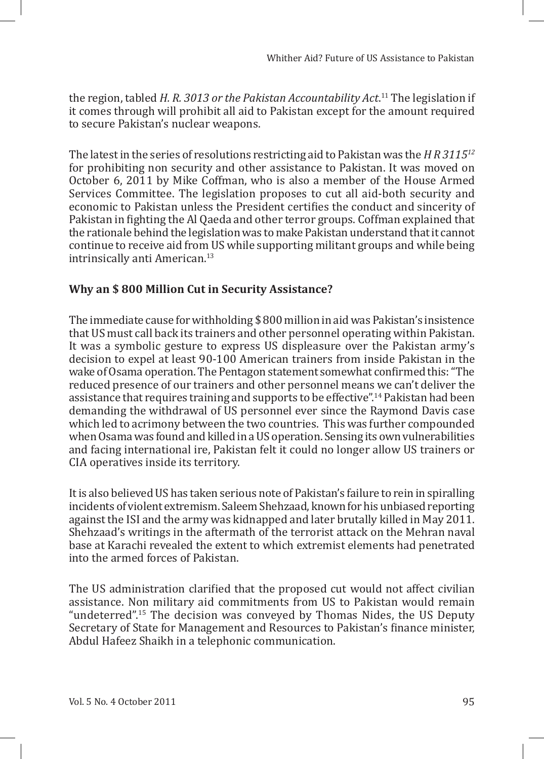the region, tabled *H. R. 3013 or the Pakistan Accountability Act*. <sup>11</sup> The legislation if it comes through will prohibit all aid to Pakistan except for the amount required to secure Pakistan's nuclear weapons.

The latest in the series of resolutions restricting aid to Pakistan was the *H R 311512* for prohibiting non security and other assistance to Pakistan. It was moved on October 6, 2011 by Mike Coffman, who is also a member of the House Armed Services Committee. The legislation proposes to cut all aid-both security and economic to Pakistan unless the President certifies the conduct and sincerity of Pakistan in fighting the Al Qaeda and other terror groups. Coffman explained that the rationale behind the legislation was to make Pakistan understand that it cannot continue to receive aid from US while supporting militant groups and while being intrinsically anti American.<sup>13</sup>

# **Why an \$ 800 Million Cut in Security Assistance?**

The immediate cause for withholding \$ 800 million in aid was Pakistan's insistence that US must call back its trainers and other personnel operating within Pakistan. It was a symbolic gesture to express US displeasure over the Pakistan army's decision to expel at least 90-100 American trainers from inside Pakistan in the wake of Osama operation. The Pentagon statement somewhat confirmed this: "The reduced presence of our trainers and other personnel means we can't deliver the assistance that requires training and supports to be effective".<sup>14</sup> Pakistan had been demanding the withdrawal of US personnel ever since the Raymond Davis case which led to acrimony between the two countries. This was further compounded when Osama was found and killed in a US operation. Sensing its own vulnerabilities and facing international ire, Pakistan felt it could no longer allow US trainers or CIA operatives inside its territory.

It is also believed US has taken serious note of Pakistan's failure to rein in spiralling incidents of violent extremism. Saleem Shehzaad, known for his unbiased reporting against the ISI and the army was kidnapped and later brutally killed in May 2011. Shehzaad's writings in the aftermath of the terrorist attack on the Mehran naval base at Karachi revealed the extent to which extremist elements had penetrated into the armed forces of Pakistan.

The US administration clarified that the proposed cut would not affect civilian assistance. Non military aid commitments from US to Pakistan would remain "undeterred".<sup>15</sup> The decision was conveyed by Thomas Nides, the US Deputy Secretary of State for Management and Resources to Pakistan's finance minister, Abdul Hafeez Shaikh in a telephonic communication.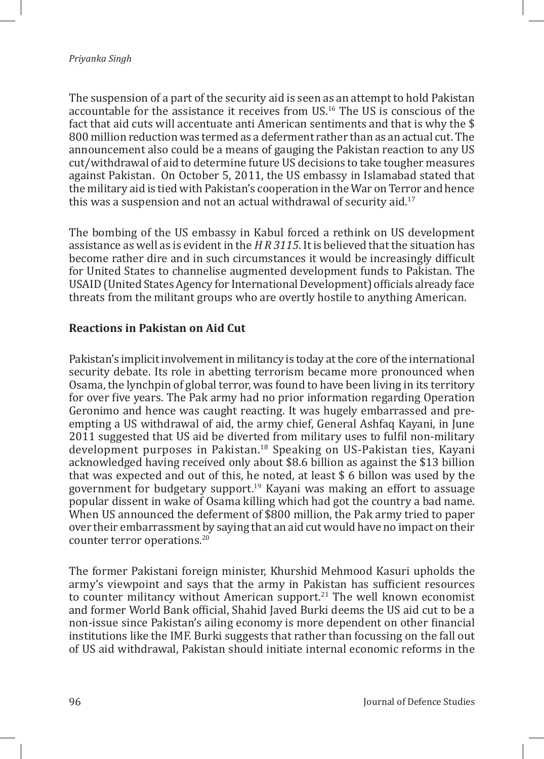The suspension of a part of the security aid is seen as an attempt to hold Pakistan accountable for the assistance it receives from US.<sup>16</sup> The US is conscious of the fact that aid cuts will accentuate anti American sentiments and that is why the \$ 800 million reduction was termed as a deferment rather than as an actual cut. The announcement also could be a means of gauging the Pakistan reaction to any US cut/withdrawal of aid to determine future US decisions to take tougher measures against Pakistan. On October 5, 2011, the US embassy in Islamabad stated that the military aid is tied with Pakistan's cooperation in the War on Terror and hence this was a suspension and not an actual withdrawal of security aid.<sup>17</sup>

The bombing of the US embassy in Kabul forced a rethink on US development assistance as well as is evident in the *H R 3115*. It is believed that the situation has become rather dire and in such circumstances it would be increasingly difficult for United States to channelise augmented development funds to Pakistan. The USAID (United States Agency for International Development) officials already face threats from the militant groups who are overtly hostile to anything American.

## **Reactions in Pakistan on Aid Cut**

Pakistan's implicit involvement in militancy is today at the core of the international security debate. Its role in abetting terrorism became more pronounced when Osama, the lynchpin of global terror, was found to have been living in its territory for over five years. The Pak army had no prior information regarding Operation Geronimo and hence was caught reacting. It was hugely embarrassed and preempting a US withdrawal of aid, the army chief, General Ashfaq Kayani, in June 2011 suggested that US aid be diverted from military uses to fulfil non-military development purposes in Pakistan.<sup>18</sup> Speaking on US-Pakistan ties, Kayani acknowledged having received only about \$8.6 billion as against the \$13 billion that was expected and out of this, he noted, at least \$ 6 billon was used by the government for budgetary support.<sup>19</sup> Kayani was making an effort to assuage popular dissent in wake of Osama killing which had got the country a bad name. When US announced the deferment of \$800 million, the Pak army tried to paper over their embarrassment by saying that an aid cut would have no impact on their counter terror operations.20

The former Pakistani foreign minister, Khurshid Mehmood Kasuri upholds the army's viewpoint and says that the army in Pakistan has sufficient resources to counter militancy without American support.<sup>21</sup> The well known economist and former World Bank official, Shahid Javed Burki deems the US aid cut to be a non-issue since Pakistan's ailing economy is more dependent on other financial institutions like the IMF. Burki suggests that rather than focussing on the fall out of US aid withdrawal, Pakistan should initiate internal economic reforms in the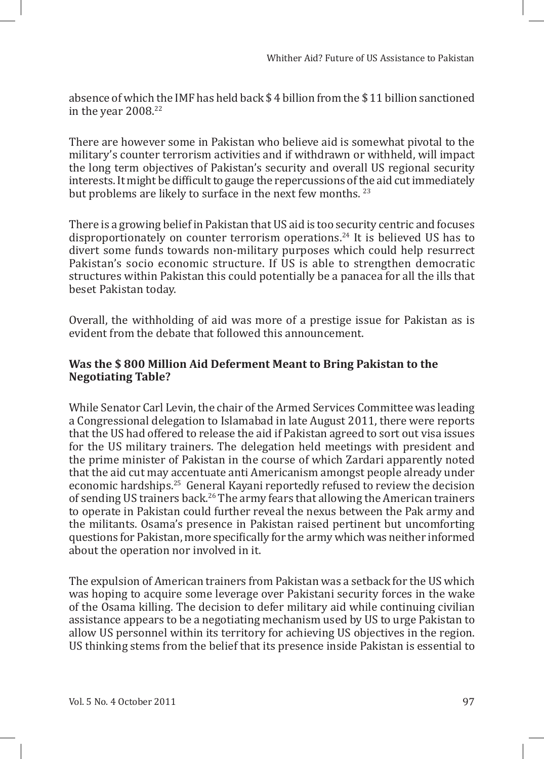absence of which the IMF has held back \$ 4 billion from the \$ 11 billion sanctioned in the year  $2008.<sup>22</sup>$ 

There are however some in Pakistan who believe aid is somewhat pivotal to the military's counter terrorism activities and if withdrawn or withheld, will impact the long term objectives of Pakistan's security and overall US regional security interests. It might be difficult to gauge the repercussions of the aid cut immediately but problems are likely to surface in the next few months.<sup>23</sup>

There is a growing belief in Pakistan that US aid is too security centric and focuses disproportionately on counter terrorism operations.<sup>24</sup> It is believed US has to divert some funds towards non-military purposes which could help resurrect Pakistan's socio economic structure. If US is able to strengthen democratic structures within Pakistan this could potentially be a panacea for all the ills that beset Pakistan today.

Overall, the withholding of aid was more of a prestige issue for Pakistan as is evident from the debate that followed this announcement.

#### **Was the \$ 800 Million Aid Deferment Meant to Bring Pakistan to the Negotiating Table?**

While Senator Carl Levin, the chair of the Armed Services Committee was leading a Congressional delegation to Islamabad in late August 2011, there were reports that the US had offered to release the aid if Pakistan agreed to sort out visa issues for the US military trainers. The delegation held meetings with president and the prime minister of Pakistan in the course of which Zardari apparently noted that the aid cut may accentuate anti Americanism amongst people already under economic hardships.25 General Kayani reportedly refused to review the decision of sending US trainers back.<sup>26</sup> The army fears that allowing the American trainers to operate in Pakistan could further reveal the nexus between the Pak army and the militants. Osama's presence in Pakistan raised pertinent but uncomforting questions for Pakistan, more specifically for the army which was neither informed about the operation nor involved in it.

The expulsion of American trainers from Pakistan was a setback for the US which was hoping to acquire some leverage over Pakistani security forces in the wake of the Osama killing. The decision to defer military aid while continuing civilian assistance appears to be a negotiating mechanism used by US to urge Pakistan to allow US personnel within its territory for achieving US objectives in the region. US thinking stems from the belief that its presence inside Pakistan is essential to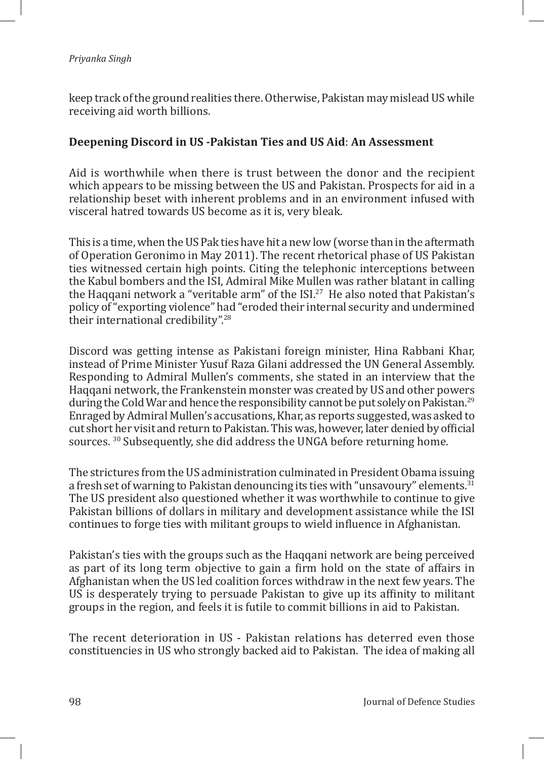keep track of the ground realities there. Otherwise, Pakistan may mislead US while receiving aid worth billions.

### **Deepening Discord in US -Pakistan Ties and US Aid**: **An Assessment**

Aid is worthwhile when there is trust between the donor and the recipient which appears to be missing between the US and Pakistan. Prospects for aid in a relationship beset with inherent problems and in an environment infused with visceral hatred towards US become as it is, very bleak.

This is a time, when the US Pak ties have hit a new low (worse than in the aftermath of Operation Geronimo in May 2011). The recent rhetorical phase of US Pakistan ties witnessed certain high points. Citing the telephonic interceptions between the Kabul bombers and the ISI, Admiral Mike Mullen was rather blatant in calling the Haqqani network a "veritable arm" of the  $ISL^{27}$  He also noted that Pakistan's policy of "exporting violence" had "eroded their internal security and undermined their international credibility".<sup>28</sup>

Discord was getting intense as Pakistani foreign minister, Hina Rabbani Khar, instead of Prime Minister Yusuf Raza Gilani addressed the UN General Assembly. Responding to Admiral Mullen's comments, she stated in an interview that the Haqqani network, the Frankenstein monster was created by US and other powers during the Cold War and hence the responsibility cannot be put solely on Pakistan.<sup>29</sup> Enraged by Admiral Mullen's accusations, Khar, as reports suggested, was asked to cut short her visit and return to Pakistan. This was, however, later denied by official sources. 30 Subsequently, she did address the UNGA before returning home.

The strictures from the US administration culminated in President Obama issuing a fresh set of warning to Pakistan denouncing its ties with "unsavoury" elements.<sup>31</sup> The US president also questioned whether it was worthwhile to continue to give Pakistan billions of dollars in military and development assistance while the ISI continues to forge ties with militant groups to wield influence in Afghanistan.

Pakistan's ties with the groups such as the Haqqani network are being perceived as part of its long term objective to gain a firm hold on the state of affairs in Afghanistan when the US led coalition forces withdraw in the next few years. The US is desperately trying to persuade Pakistan to give up its affinity to militant groups in the region, and feels it is futile to commit billions in aid to Pakistan.

The recent deterioration in US - Pakistan relations has deterred even those constituencies in US who strongly backed aid to Pakistan. The idea of making all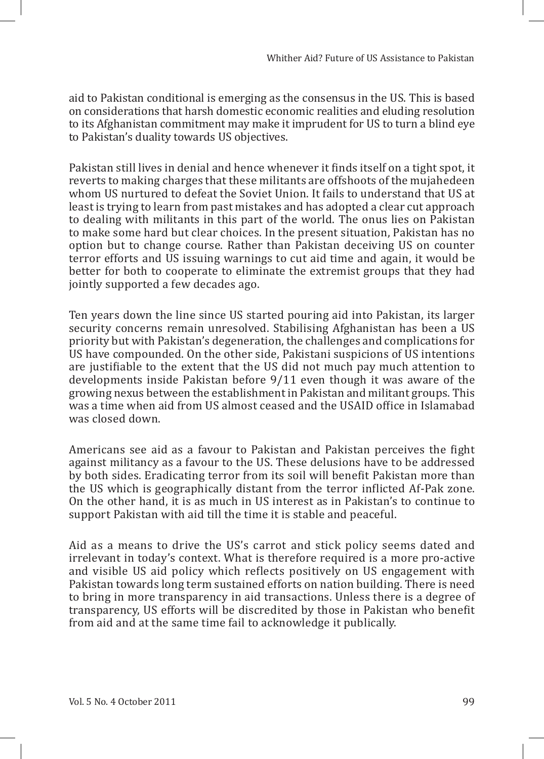aid to Pakistan conditional is emerging as the consensus in the US. This is based on considerations that harsh domestic economic realities and eluding resolution to its Afghanistan commitment may make it imprudent for US to turn a blind eye to Pakistan's duality towards US objectives.

Pakistan still lives in denial and hence whenever it finds itself on a tight spot, it reverts to making charges that these militants are offshoots of the mujahedeen whom US nurtured to defeat the Soviet Union. It fails to understand that US at least is trying to learn from past mistakes and has adopted a clear cut approach to dealing with militants in this part of the world. The onus lies on Pakistan to make some hard but clear choices. In the present situation, Pakistan has no option but to change course. Rather than Pakistan deceiving US on counter terror efforts and US issuing warnings to cut aid time and again, it would be better for both to cooperate to eliminate the extremist groups that they had jointly supported a few decades ago.

Ten years down the line since US started pouring aid into Pakistan, its larger security concerns remain unresolved. Stabilising Afghanistan has been a US priority but with Pakistan's degeneration, the challenges and complications for US have compounded. On the other side, Pakistani suspicions of US intentions are justifiable to the extent that the US did not much pay much attention to developments inside Pakistan before 9/11 even though it was aware of the growing nexus between the establishment in Pakistan and militant groups. This was a time when aid from US almost ceased and the USAID office in Islamabad was closed down.

Americans see aid as a favour to Pakistan and Pakistan perceives the fight against militancy as a favour to the US. These delusions have to be addressed by both sides. Eradicating terror from its soil will benefit Pakistan more than the US which is geographically distant from the terror inflicted Af-Pak zone. On the other hand, it is as much in US interest as in Pakistan's to continue to support Pakistan with aid till the time it is stable and peaceful.

Aid as a means to drive the US's carrot and stick policy seems dated and irrelevant in today's context. What is therefore required is a more pro-active and visible US aid policy which reflects positively on US engagement with Pakistan towards long term sustained efforts on nation building. There is need to bring in more transparency in aid transactions. Unless there is a degree of transparency, US efforts will be discredited by those in Pakistan who benefit from aid and at the same time fail to acknowledge it publically.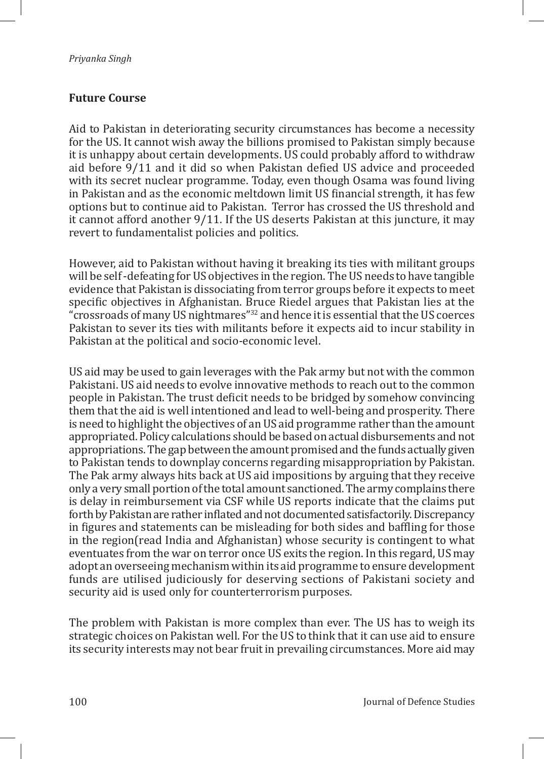## **Future Course**

Aid to Pakistan in deteriorating security circumstances has become a necessity for the US. It cannot wish away the billions promised to Pakistan simply because it is unhappy about certain developments. US could probably afford to withdraw aid before 9/11 and it did so when Pakistan defied US advice and proceeded with its secret nuclear programme. Today, even though Osama was found living in Pakistan and as the economic meltdown limit US financial strength, it has few options but to continue aid to Pakistan. Terror has crossed the US threshold and it cannot afford another 9/11. If the US deserts Pakistan at this juncture, it may revert to fundamentalist policies and politics.

However, aid to Pakistan without having it breaking its ties with militant groups will be self -defeating for US objectives in the region. The US needs to have tangible evidence that Pakistan is dissociating from terror groups before it expects to meet specific objectives in Afghanistan. Bruce Riedel argues that Pakistan lies at the "crossroads of many US nightmares"<sup>32</sup> and hence it is essential that the US coerces Pakistan to sever its ties with militants before it expects aid to incur stability in Pakistan at the political and socio-economic level.

US aid may be used to gain leverages with the Pak army but not with the common Pakistani. US aid needs to evolve innovative methods to reach out to the common people in Pakistan. The trust deficit needs to be bridged by somehow convincing them that the aid is well intentioned and lead to well-being and prosperity. There is need to highlight the objectives of an US aid programme rather than the amount appropriated. Policy calculations should be based on actual disbursements and not appropriations. The gap between the amount promised and the funds actually given to Pakistan tends to downplay concerns regarding misappropriation by Pakistan. The Pak army always hits back at US aid impositions by arguing that they receive only a very small portion of the total amount sanctioned. The army complains there is delay in reimbursement via CSF while US reports indicate that the claims put forth by Pakistan are rather inflated and not documented satisfactorily. Discrepancy in figures and statements can be misleading for both sides and baffling for those in the region(read India and Afghanistan) whose security is contingent to what eventuates from the war on terror once US exits the region. In this regard, US may adopt an overseeing mechanism within its aid programme to ensure development funds are utilised judiciously for deserving sections of Pakistani society and security aid is used only for counterterrorism purposes.

The problem with Pakistan is more complex than ever. The US has to weigh its strategic choices on Pakistan well. For the US to think that it can use aid to ensure its security interests may not bear fruit in prevailing circumstances. More aid may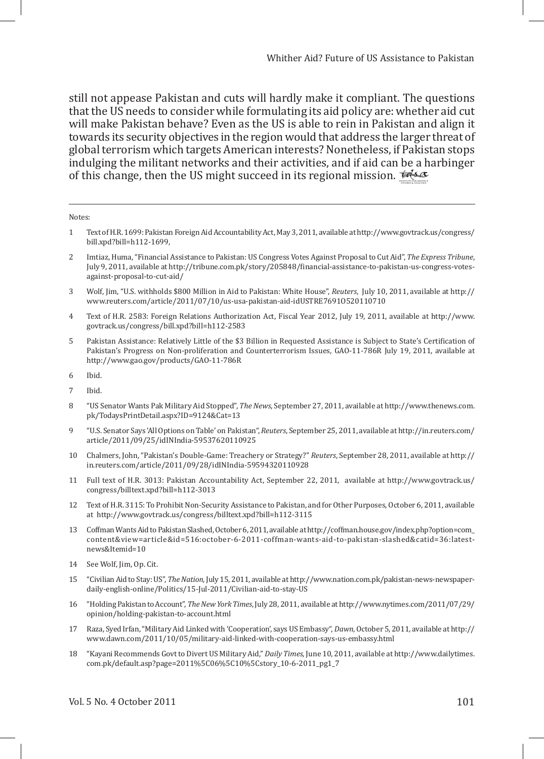still not appease Pakistan and cuts will hardly make it compliant. The questions that the US needs to consider while formulating its aid policy are: whether aid cut will make Pakistan behave? Even as the US is able to rein in Pakistan and align it towards its security objectives in the region would that address the larger threat of global terrorism which targets American interests? Nonetheless, if Pakistan stops indulging the militant networks and their activities, and if aid can be a harbinger of this change, then the US might succeed in its regional mission. For  $\omega$ 

Notes:

- 1 Text of H.R. 1699: Pakistan Foreign Aid Accountability Act, May 3, 2011, available at http://www.govtrack.us/congress/ bill.xpd?bill=h112-1699,
- 2 Imtiaz, Huma, "Financial Assistance to Pakistan: US Congress Votes Against Proposal to Cut Aid", *The Express Tribune*, July 9, 2011, available at http://tribune.com.pk/story/205848/financial-assistance-to-pakistan-us-congress-votesagainst-proposal-to-cut-aid/
- 3 Wolf, Jim, "U.S. withholds \$800 Million in Aid to Pakistan: White House", *Reuters*, July 10, 2011, available at http:// www.reuters.com/article/2011/07/10/us-usa-pakistan-aid-idUSTRE7691O520110710
- 4 Text of H.R. 2583: Foreign Relations Authorization Act, Fiscal Year 2012, July 19, 2011, available at http://www. govtrack.us/congress/bill.xpd?bill=h112-2583
- 5 Pakistan Assistance: Relatively Little of the \$3 Billion in Requested Assistance is Subject to State's Certification of Pakistan's Progress on Non-proliferation and Counterterrorism Issues, GAO-11-786R July 19, 2011, available at http://www.gao.gov/products/GAO-11-786R
- 6 Ibid.
- 7 Ibid.
- 8 "US Senator Wants Pak Military Aid Stopped", *The News*, September 27, 2011, available at http://www.thenews.com. pk/TodaysPrintDetail.aspx?ID=9124&Cat=13
- 9 "U.S. Senator Says 'All Options on Table' on Pakistan", *Reuters*, September 25, 2011, available at http://in.reuters.com/ article/2011/09/25/idINIndia-59537620110925
- 10 Chalmers, John, "Pakistan's Double-Game: Treachery or Strategy?" *Reuters*, September 28, 2011, available at http:// in.reuters.com/article/2011/09/28/idINIndia-59594320110928
- 11 Full text of H.R. 3013: Pakistan Accountability Act, September 22, 2011, available at http://www.govtrack.us/ congress/billtext.xpd?bill=h112-3013
- 12 Text of H.R. 3115: To Prohibit Non-Security Assistance to Pakistan, and for Other Purposes, October 6, 2011, available at http://www.govtrack.us/congress/billtext.xpd?bill=h112-3115
- 13 Coffman Wants Aid to Pakistan Slashed, October 6, 2011, available at http://coffman.house.gov/index.php?option=com\_ content&view=article&id=516:october-6-2011-coffman-wants-aid-to-pakistan-slashed&catid=36:latestnews&Itemid=10
- 14 See Wolf, Jim, Op. Cit.
- 15 "Civilian Aid to Stay: US", *The Nation*, July 15, 2011, available at http://www.nation.com.pk/pakistan-news-newspaperdaily-english-online/Politics/15-Jul-2011/Civilian-aid-to-stay-US
- 16 "Holding Pakistan to Account", *The New York Times*, July 28, 2011, available at http://www.nytimes.com/2011/07/29/ opinion/holding-pakistan-to-account.html
- 17 Raza, Syed Irfan, "Military Aid Linked with 'Cooperation', says US Embassy", *Dawn*, October 5, 2011, available at http:// www.dawn.com/2011/10/05/military-aid-linked-with-cooperation-says-us-embassy.html
- 18 "Kayani Recommends Govt to Divert US Military Aid," *Daily Times*, June 10, 2011, available at http://www.dailytimes. com.pk/default.asp?page=2011%5C06%5C10%5Cstory\_10-6-2011\_pg1\_7